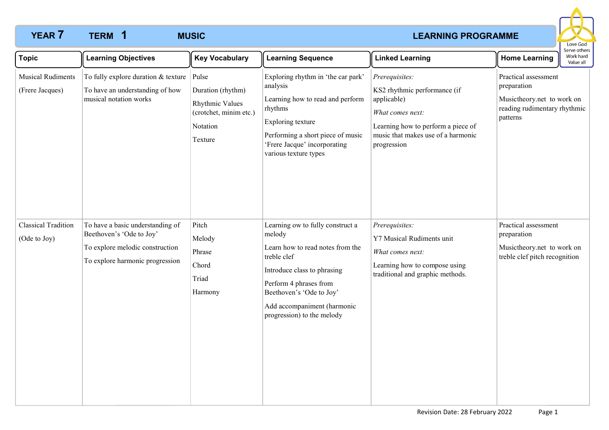# **YEAR 7 TERM 1 MUSIC** *MUSIC MUSIC LEARNING PROGRAMME* **TERM MUSIC 1**



| <b>Topic</b>                                | <b>Learning Objectives</b>                                                                                                         | <b>Key Vocabulary</b>                                                                          | <b>Learning Sequence</b>                                                                                                                                                                                                                        | <b>Linked Learning</b>                                                                                                                                                       | Serve others<br>Work hard<br><b>Home Learning</b><br>Value all                                                |
|---------------------------------------------|------------------------------------------------------------------------------------------------------------------------------------|------------------------------------------------------------------------------------------------|-------------------------------------------------------------------------------------------------------------------------------------------------------------------------------------------------------------------------------------------------|------------------------------------------------------------------------------------------------------------------------------------------------------------------------------|---------------------------------------------------------------------------------------------------------------|
| <b>Musical Rudiments</b><br>(Frere Jacques) | To fully explore duration & texture<br>To have an understanding of how<br>musical notation works                                   | Pulse<br>Duration (rhythm)<br>Rhythmic Values<br>(crotchet, minim etc.)<br>Notation<br>Texture | Exploring rhythm in 'the car park'<br>analysis<br>Learning how to read and perform<br>rhythms<br>Exploring texture<br>Performing a short piece of music<br>'Frere Jacque' incorporating<br>various texture types                                | Prerequisites:<br>KS2 rhythmic performance (if<br>applicable)<br>What comes next:<br>Learning how to perform a piece of<br>music that makes use of a harmonic<br>progression | Practical assessment<br>preparation<br>Musictheory.net to work on<br>reading rudimentary rhythmic<br>patterns |
| <b>Classical Tradition</b><br>(Ode to Joy)  | To have a basic understanding of<br>Beethoven's 'Ode to Joy'<br>To explore melodic construction<br>To explore harmonic progression | Pitch<br>Melody<br>Phrase<br>Chord<br>Triad<br>Harmony                                         | Learning ow to fully construct a<br>melody<br>Learn how to read notes from the<br>treble clef<br>Introduce class to phrasing<br>Perform 4 phrases from<br>Beethoven's 'Ode to Joy'<br>Add accompaniment (harmonic<br>progression) to the melody | Prerequisites:<br>Y7 Musical Rudiments unit<br>What comes next:<br>Learning how to compose using<br>traditional and graphic methods.                                         | Practical assessment<br>preparation<br>Musictheory.net to work on<br>treble clef pitch recognition            |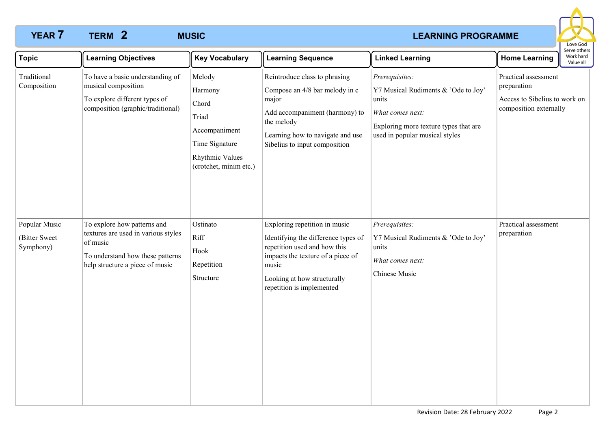# **YEAR 7 TERM 2 MUSIC** *MUSIC MUSIC LEARNING PROGRAMME* **TERM MUSIC 2**



| <b>Topic</b>                                 | <b>Learning Objectives</b>                                                                                                                            | <b>Key Vocabulary</b>                                                                                               | <b>Learning Sequence</b>                                                                                                                                                                                       | <b>Linked Learning</b>                                                                                                                                        | <b>Home Learning</b>                                                                           | כו עב טנווכו א<br>Work hard<br>Value all |
|----------------------------------------------|-------------------------------------------------------------------------------------------------------------------------------------------------------|---------------------------------------------------------------------------------------------------------------------|----------------------------------------------------------------------------------------------------------------------------------------------------------------------------------------------------------------|---------------------------------------------------------------------------------------------------------------------------------------------------------------|------------------------------------------------------------------------------------------------|------------------------------------------|
| Traditional<br>Composition                   | To have a basic understanding of<br>musical composition<br>To explore different types of<br>composition (graphic/traditional)                         | Melody<br>Harmony<br>Chord<br>Triad<br>Accompaniment<br>Time Signature<br>Rhythmic Values<br>(crotchet, minim etc.) | Reintroduce class to phrasing<br>Compose an 4/8 bar melody in c<br>major<br>Add accompaniment (harmony) to<br>the melody<br>Learning how to navigate and use<br>Sibelius to input composition                  | Prerequisites:<br>Y7 Musical Rudiments & 'Ode to Joy'<br>units<br>What comes next:<br>Exploring more texture types that are<br>used in popular musical styles | Practical assessment<br>preparation<br>Access to Sibelius to work on<br>composition externally |                                          |
| Popular Music<br>(Bitter Sweet)<br>Symphony) | To explore how patterns and<br>textures are used in various styles<br>of music<br>To understand how these patterns<br>help structure a piece of music | Ostinato<br>Riff<br>Hook<br>Repetition<br>Structure                                                                 | Exploring repetition in music<br>Identifying the difference types of<br>repetition used and how this<br>impacts the texture of a piece of<br>music<br>Looking at how structurally<br>repetition is implemented | Prerequisites:<br>Y7 Musical Rudiments & 'Ode to Joy'<br>units<br>What comes next:<br><b>Chinese Music</b>                                                    | Practical assessment<br>preparation                                                            |                                          |